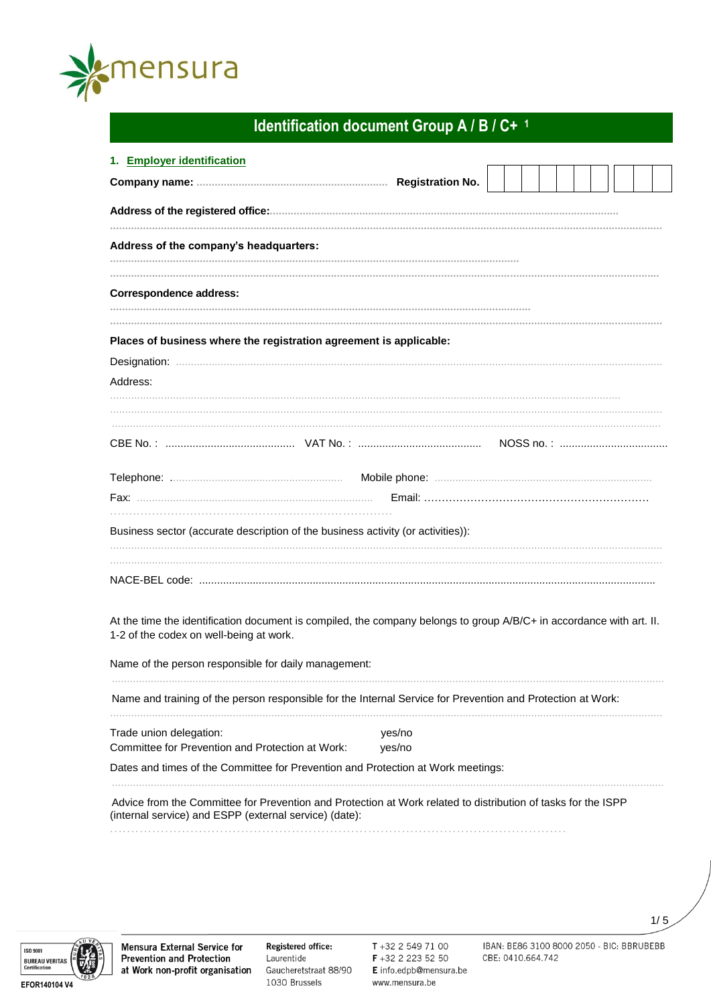

# Identification document Group A / B / C+ 1

| 1. Employer identification                                                                                                                                              |        |  |  |  |  |  |  |
|-------------------------------------------------------------------------------------------------------------------------------------------------------------------------|--------|--|--|--|--|--|--|
|                                                                                                                                                                         |        |  |  |  |  |  |  |
|                                                                                                                                                                         |        |  |  |  |  |  |  |
| Address of the company's headquarters:                                                                                                                                  |        |  |  |  |  |  |  |
| <b>Correspondence address:</b>                                                                                                                                          |        |  |  |  |  |  |  |
| Places of business where the registration agreement is applicable:                                                                                                      |        |  |  |  |  |  |  |
|                                                                                                                                                                         |        |  |  |  |  |  |  |
| Address:                                                                                                                                                                |        |  |  |  |  |  |  |
|                                                                                                                                                                         |        |  |  |  |  |  |  |
|                                                                                                                                                                         |        |  |  |  |  |  |  |
|                                                                                                                                                                         |        |  |  |  |  |  |  |
|                                                                                                                                                                         |        |  |  |  |  |  |  |
| Business sector (accurate description of the business activity (or activities)):                                                                                        |        |  |  |  |  |  |  |
|                                                                                                                                                                         |        |  |  |  |  |  |  |
| At the time the identification document is compiled, the company belongs to group A/B/C+ in accordance with art. II.<br>1-2 of the codex on well-being at work.         |        |  |  |  |  |  |  |
| Name of the person responsible for daily management:                                                                                                                    |        |  |  |  |  |  |  |
| Name and training of the person responsible for the Internal Service for Prevention and Protection at Work:                                                             |        |  |  |  |  |  |  |
| Trade union delegation:                                                                                                                                                 | yes/no |  |  |  |  |  |  |
| Committee for Prevention and Protection at Work:                                                                                                                        | yes/no |  |  |  |  |  |  |
| Dates and times of the Committee for Prevention and Protection at Work meetings:                                                                                        |        |  |  |  |  |  |  |
| Advice from the Committee for Prevention and Protection at Work related to distribution of tasks for the ISPP<br>(internal service) and ESPP (external service) (date): |        |  |  |  |  |  |  |
|                                                                                                                                                                         |        |  |  |  |  |  |  |



Mensura External Service for **Prevention and Protection** at Work non-profit organisation

Registered office: Laurentide Gaucheretstraat 88/90 1030 Brussels

T +32 2 549 71 00 F+32 2 223 52 50 E info.edpb@mensura.be www.mensura.be

IBAN: BE86 3100 8000 2050 - BIC: BBRUBEBB CBE: 0410.664.742

 $1/5$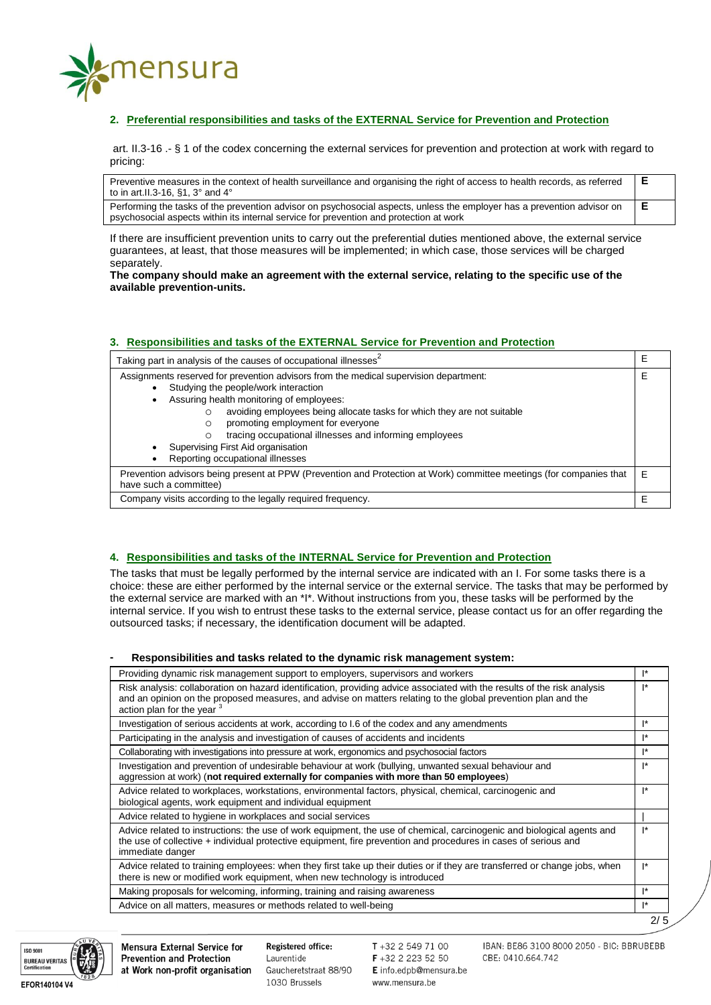

# **2. Preferential responsibilities and tasks of the EXTERNAL Service for Prevention and Protection**

art. II.3-16 .- § 1 of the codex concerning the external services for prevention and protection at work with regard to pricing:

Preventive measures in the context of health surveillance and organising the right of access to health records, as referred to in art.II.3-16, §1, 3° and 4° **E** Performing the tasks of the prevention advisor on psychosocial aspects, unless the employer has a prevention advisor on **E**

If there are insufficient prevention units to carry out the preferential duties mentioned above, the external service guarantees, at least, that those measures will be implemented; in which case, those services will be charged separately.

**The company should make an agreement with the external service, relating to the specific use of the available prevention-units.** 

# **3. Responsibilities and tasks of the EXTERNAL Service for Prevention and Protection**

psychosocial aspects within its internal service for prevention and protection at work

| Taking part in analysis of the causes of occupational illnesses                                                                               |   |  |  |
|-----------------------------------------------------------------------------------------------------------------------------------------------|---|--|--|
| Assignments reserved for prevention advisors from the medical supervision department:                                                         |   |  |  |
| Studying the people/work interaction                                                                                                          |   |  |  |
| Assuring health monitoring of employees:                                                                                                      |   |  |  |
| avoiding employees being allocate tasks for which they are not suitable<br>O                                                                  |   |  |  |
| promoting employment for everyone<br>$\circ$                                                                                                  |   |  |  |
| tracing occupational illnesses and informing employees                                                                                        |   |  |  |
| Supervising First Aid organisation                                                                                                            |   |  |  |
| Reporting occupational illnesses                                                                                                              |   |  |  |
| Prevention advisors being present at PPW (Prevention and Protection at Work) committee meetings (for companies that<br>have such a committee) | F |  |  |
| Company visits according to the legally required frequency.                                                                                   |   |  |  |

## **4. Responsibilities and tasks of the INTERNAL Service for Prevention and Protection**

The tasks that must be legally performed by the internal service are indicated with an I. For some tasks there is a choice: these are either performed by the internal service or the external service. The tasks that may be performed by the external service are marked with an \*I\*. Without instructions from you, these tasks will be performed by the internal service. If you wish to entrust these tasks to the external service, please contact us for an offer regarding the outsourced tasks; if necessary, the identification document will be adapted.

#### **- Responsibilities and tasks related to the dynamic risk management system:**

| Providing dynamic risk management support to employers, supervisors and workers                                                                                                                                                                                                    | $\mathsf{I}^*$ |
|------------------------------------------------------------------------------------------------------------------------------------------------------------------------------------------------------------------------------------------------------------------------------------|----------------|
| Risk analysis: collaboration on hazard identification, providing advice associated with the results of the risk analysis<br>and an opinion on the proposed measures, and advise on matters relating to the global prevention plan and the<br>action plan for the year <sup>3</sup> | $\mathsf{I}^*$ |
| Investigation of serious accidents at work, according to 1.6 of the codex and any amendments                                                                                                                                                                                       | I*             |
| Participating in the analysis and investigation of causes of accidents and incidents                                                                                                                                                                                               | $\mathsf{I}^*$ |
| Collaborating with investigations into pressure at work, ergonomics and psychosocial factors                                                                                                                                                                                       | $\mathsf{I}^*$ |
| Investigation and prevention of undesirable behaviour at work (bullying, unwanted sexual behaviour and<br>aggression at work) (not required externally for companies with more than 50 employees)                                                                                  | $\mathsf{I}^*$ |
| Advice related to workplaces, workstations, environmental factors, physical, chemical, carcinogenic and<br>biological agents, work equipment and individual equipment                                                                                                              | $\mathsf{I}^*$ |
| Advice related to hygiene in workplaces and social services                                                                                                                                                                                                                        |                |
| Advice related to instructions: the use of work equipment, the use of chemical, carcinogenic and biological agents and<br>the use of collective + individual protective equipment, fire prevention and procedures in cases of serious and<br>immediate danger                      | $\mathsf{I}^*$ |
| Advice related to training employees: when they first take up their duties or if they are transferred or change jobs, when<br>there is new or modified work equipment, when new technology is introduced                                                                           | <sup>*</sup>   |
| Making proposals for welcoming, informing, training and raising awareness                                                                                                                                                                                                          | I*             |
| Advice on all matters, measures or methods related to well-being                                                                                                                                                                                                                   | $\mathsf{I}^*$ |
|                                                                                                                                                                                                                                                                                    | 2/5            |



Mensura External Service for **Prevention and Protection** at Work non-profit organisation Registered office: Laurentide Gaucheretstraat 88/90 1030 Brussels

 $T + 3225497100$ F +32 2 223 52 50 E info.edpb@mensura.be www.mensura.be

IBAN: BE86 3100 8000 2050 - BIC: BBRUBEBB CBE: 0410.664.742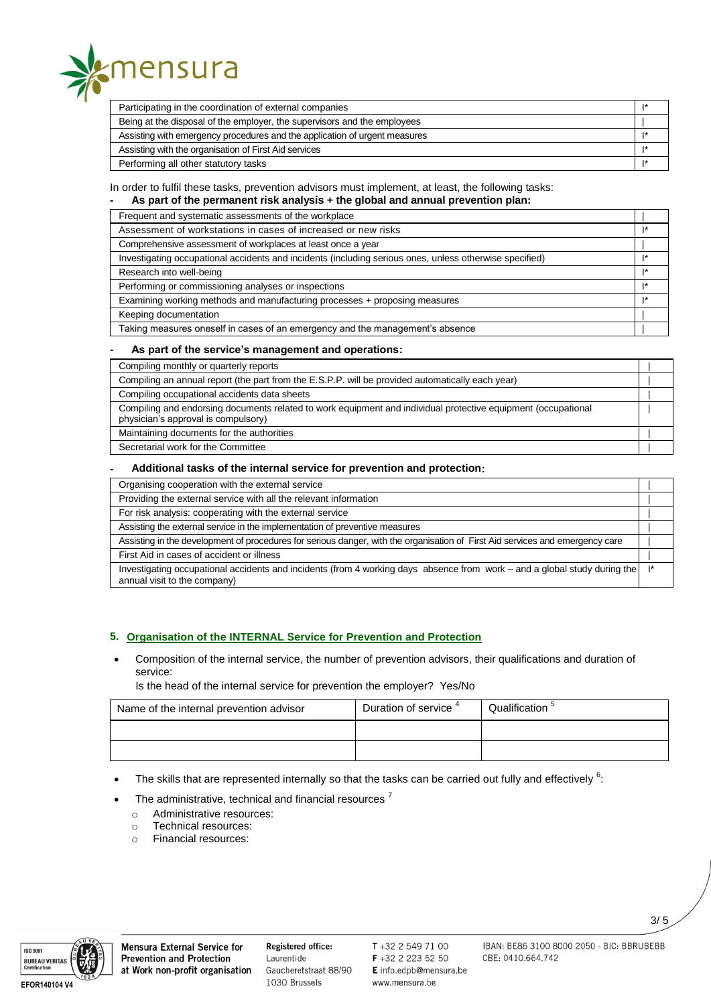

| Participating in the coordination of external companies                    |  |
|----------------------------------------------------------------------------|--|
| Being at the disposal of the employer, the supervisors and the employees   |  |
| Assisting with emergency procedures and the application of urgent measures |  |
| Assisting with the organisation of First Aid services                      |  |
| Performing all other statutory tasks                                       |  |

## In order to fulfil these tasks, prevention advisors must implement, at least, the following tasks:

**- As part of the permanent risk analysis + the global and annual prevention plan:**

| Frequent and systematic assessments of the workplace                                                    |    |
|---------------------------------------------------------------------------------------------------------|----|
| Assessment of workstations in cases of increased or new risks                                           |    |
| Comprehensive assessment of workplaces at least once a year                                             |    |
| Investigating occupational accidents and incidents (including serious ones, unless otherwise specified) |    |
| Research into well-being                                                                                | ı∗ |
| Performing or commissioning analyses or inspections                                                     | ı∗ |
| Examining working methods and manufacturing processes + proposing measures                              |    |
| Keeping documentation                                                                                   |    |
| Taking measures oneself in cases of an emergency and the management's absence                           |    |

### **- As part of the service's management and operations:**

| Compiling monthly or quarterly reports                                                                                                               |  |
|------------------------------------------------------------------------------------------------------------------------------------------------------|--|
| Compiling an annual report (the part from the E.S.P.P. will be provided automatically each year)                                                     |  |
| Compiling occupational accidents data sheets                                                                                                         |  |
| Compiling and endorsing documents related to work equipment and individual protective equipment (occupational<br>physician's approval is compulsory) |  |
| Maintaining documents for the authorities                                                                                                            |  |
| Secretarial work for the Committee                                                                                                                   |  |

#### **- Additional tasks of the internal service for prevention and protection:**

| Organising cooperation with the external service                                                                                                          |  |
|-----------------------------------------------------------------------------------------------------------------------------------------------------------|--|
| Providing the external service with all the relevant information                                                                                          |  |
| For risk analysis: cooperating with the external service                                                                                                  |  |
| Assisting the external service in the implementation of preventive measures                                                                               |  |
| Assisting in the development of procedures for serious danger, with the organisation of First Aid services and emergency care                             |  |
| First Aid in cases of accident or illness                                                                                                                 |  |
| Investigating occupational accidents and incidents (from 4 working days absence from work – and a global study during the<br>annual visit to the company) |  |

# **5. Organisation of the INTERNAL Service for Prevention and Protection**

 Composition of the internal service, the number of prevention advisors, their qualifications and duration of service:

Is the head of the internal service for prevention the employer? Yes/No

| Name of the internal prevention advisor | Duration of service | Qualification <sup>3</sup> |
|-----------------------------------------|---------------------|----------------------------|
|                                         |                     |                            |
|                                         |                     |                            |

- The skills that are represented internally so that the tasks can be carried out fully and effectively  $6$ :
- The administrative, technical and financial resources<sup>7</sup>
	- o Administrative resources:
	- o Technical resources:
	- o Financial resources:



Registered office: Laurentide Gaucheretstraat 88/90 1030 Brussels

T+32 2 549 71 00 F +32 2 223 52 50 E info.edpb@mensura.be www.mensura.be

IBAN: BE86 3100 8000 2050 - BIC: BBRUBEBB CBE: 0410.664.742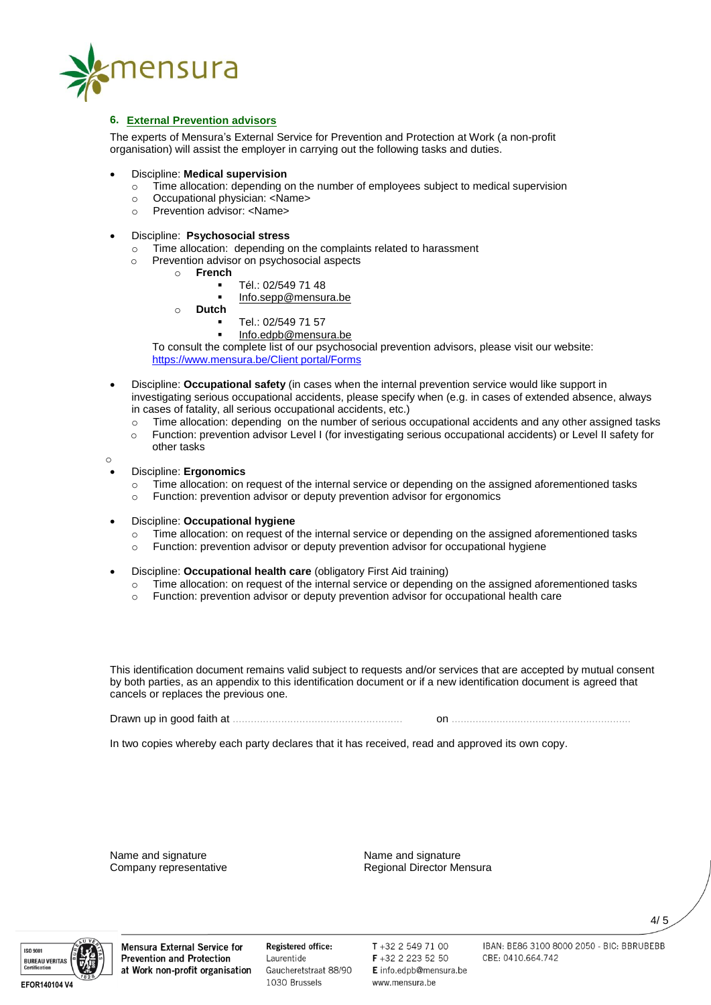

# **6. External Prevention advisors**

The experts of Mensura's External Service for Prevention and Protection at Work (a non-profit organisation) will assist the employer in carrying out the following tasks and duties.

- Discipline: **Medical supervision**
	- Time allocation: depending on the number of employees subject to medical supervision
	- o Occupational physician: <Name>
	- o Prevention advisor: <Name>
- Discipline: **Psychosocial stress**
	- o Time allocation: depending on the complaints related to harassment
	- o Prevention advisor on psychosocial aspects
		- o **French**
			- Tél.: 02/549 71 48
			- [Info.sepp@mensura.be](mailto:Info.sepp@mensura.be)
		- o **Dutch**
			- Tel.: 02/549 71 57
			- [Info.edpb@mensura.be](mailto:Info.edpb@mensura.be)

To consult the complete list of our psychosocial prevention advisors, please visit our website: [https://www.mensura.be/Client portal/Forms](https://www.mensura.be/en/client-portal/forms)

- Discipline: **Occupational safety** (in cases when the internal prevention service would like support in investigating serious occupational accidents, please specify when (e.g. in cases of extended absence, always in cases of fatality, all serious occupational accidents, etc.)
	- $\circ$  Time allocation: depending on the number of serious occupational accidents and any other assigned tasks
	- o Function: prevention advisor Level I (for investigating serious occupational accidents) or Level II safety for other tasks
- Discipline: **Ergonomics**

o

- o Time allocation: on request of the internal service or depending on the assigned aforementioned tasks
- o Function: prevention advisor or deputy prevention advisor for ergonomics
- Discipline: **Occupational hygiene**
	- o Time allocation: on request of the internal service or depending on the assigned aforementioned tasks
	- o Function: prevention advisor or deputy prevention advisor for occupational hygiene
- Discipline: **Occupational health care** (obligatory First Aid training)
	- o Time allocation: on request of the internal service or depending on the assigned aforementioned tasks
	- o Function: prevention advisor or deputy prevention advisor for occupational health care

This identification document remains valid subject to requests and/or services that are accepted by mutual consent by both parties, as an appendix to this identification document or if a new identification document is agreed that cancels or replaces the previous one.

Drawn up in good faith at ........................................................ on ............................................................

In two copies whereby each party declares that it has received, read and approved its own copy.

Name and signature Name and signature<br>
Company representative Company representative Regional Director Me

Regional Director Mensura



Mensura External Service for **Prevention and Protection** at Work non-profit organisation Registered office: Laurentide Gaucheretstraat 88/90 1030 Brussels

 $T + 3225497100$ F +32 2 223 52 50 E info.edpb@mensura.be www.mensura.be

IBAN: BE86 3100 8000 2050 - BIC: BBRUBEBB CBE: 0410.664.742